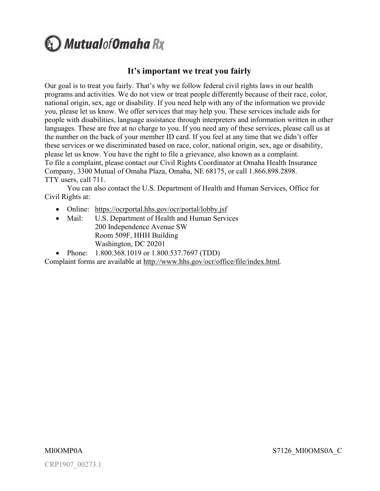**A** Mutualof Omaha Rx

# **It's important we treat you fairly**

Our goal is to treat you fairly. That's why we follow federal civil rights laws in our health programs and activities. We do not view or treat people differently because of their race, color, national origin, sex, age or disability. If you need help with any of the information we provide you, please let us know. We offer services that may help you. These services include aids for people with disabilities, language assistance through interpreters and information written in other languages. These are free at no charge to you. If you need any of these services, please call us at the number on the back of your member ID card. If you feel at any time that we didn't offer these services or we discriminated based on race, color, national origin, sex, age or disability, please let us know. You have the right to file a grievance, also known as a complaint. To file a complaint, please contact our Civil Rights Coordinator at Omaha Health Insurance Company, 3300 Mutual of Omaha Plaza, Omaha, NE 68175, or call 1.866.898.2898. TTY users, call 711.

You can [also contact the U.S. Department of Health an](https://ocrportal.hhs.gov/ocr/portal/lobby.jsf)d Human Services, Office for Civil Rights at:

- Online: https://ocrportal.hhs.gov/ocr/portal/lobby.jsf
- Mail: U.S. Department of Health and Human Services 200 Independence Avenue SW Room 509F, HHH Building Washington, D[C 20201](http://www.hhs.gov/ocr/office/file/index.html)
- Phone: 1.800.368.1019 or 1.800.537.7697 (TDD)

Complaint forms are available at http://www.hhs.gov/ocr/office/file/index.html*.*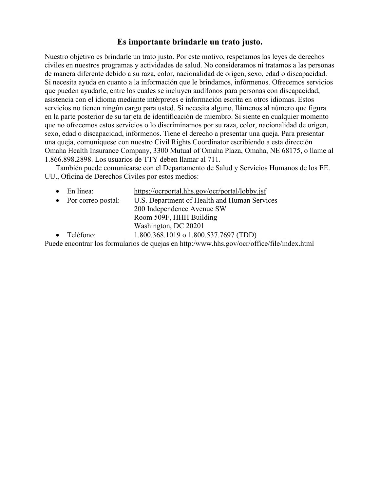# **Es importante brindarle un trato justo.**

Nuestro objetivo es brindarle un trato justo. Por este motivo, respetamos las leyes de derechos civiles en nuestros programas y actividades de salud. No consideramos ni tratamos a las personas de manera diferente debido a su raza, color, nacionalidad de origen, sexo, edad o discapacidad. Si necesita ayuda en cuanto a la información que le brindamos, infórmenos. Ofrecemos servicios que pueden ayudarle, entre los cuales se incluyen audífonos para personas con discapacidad, asistencia con el idioma mediante intérpretes e información escrita en otros idiomas. Estos servicios no tienen ningún cargo para usted. Si necesita alguno, llámenos al número que figura en la parte posterior de su tarjeta de identificación de miembro. Si siente en cualquier momento que no ofrecemos estos servicios o lo discriminamos por su raza, color, nacionalidad de origen, sexo, edad o discapacidad, infórmenos. Tiene el derecho a presentar una queja. Para presentar una queja, comuníquese con nuestro Civil Rights Coordinator escribiendo a esta dirección Omaha Health Insurance Company, 3300 Mutual of Omaha Plaza, Omaha, NE 68175, o llame al 1.866.898.2898. Los usuarios de TTY deben llamar al 711.

También puede comunicarse con el Departamento de Salud y Servicios Humanos de los EE. UU., Oficina de Derechos Ci[viles por estos medios:](https://ocrportal.hhs.gov/ocr/portal/lobby.jsf) 

| En línea:            | https://ocrportal.hhs.gov/ocr/portal/lobby.jsf                                            |
|----------------------|-------------------------------------------------------------------------------------------|
| • Por correo postal: | U.S. Department of Health and Human Services                                              |
|                      | 200 Independence Avenue SW                                                                |
|                      | Room 509F, HHH Building                                                                   |
|                      | Washington, DC 20201                                                                      |
| $\bullet$ Teléfono:  | 1.800.368.1019 o 1.800.537.7697 (TDD)                                                     |
|                      | Puede encontrar los formularios de quejas en http:/www.hhs.gov/ocr/office/file/index.html |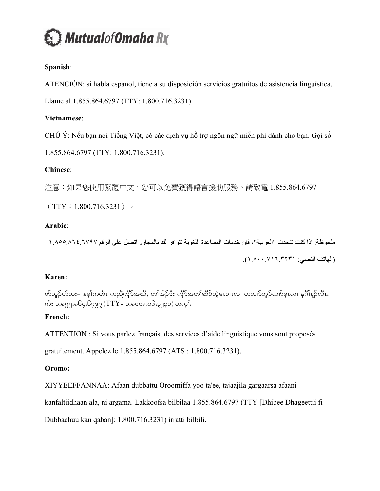

## **Spanish**:

ATENCIÓN: si habla español, tiene a su disposición servicios gratuitos de asistencia lingüística.

Llame al 1.855.864.6797 (TTY: 1.800.716.3231).

## **Vietnamese**:

CHÚ Ý: Nếu bạn nói Tiếng Việt, có các dịch vụ hỗ trợ ngôn ngữ miễn phí dành cho bạn. Gọi số

1.855.864.6797 (TTY: 1.800.716.3231).

## **Chinese**:

注意:如果您使用繁體中文,您可以免費獲得語言援助服務。請致電 1.855.864.6797

 $(TTY:1.800.716.3231)$ 

## **Arabic**:

ملحوظة: إذا كنت تتحدث "العربية" ، فإن خدمات المساعدة اللغوية تتوافر لك بالمجان. اتصل على الرقم ١.٨٥٥.٨٦٤.٦٧٩٧ )الهاتف النصي: ١.٨٠٠.٧١٦.٣٢٣١(.

## **Karen:**

ဟ်သူဉ်ဟ်သး– နမ့္ပ်ကတိၤ ကညီကျိဉ်အယိႇ တ၊်အိဉ်ဒီး ကျိဉ်အတ၊်ဆိဉ်ထွဲမၤစၢၤလ၊ တလၢာ်ဘူဉ်လၢာ်စ့ၤလ၊ နဂိၢိန္ဉ်လီၤ ကိႏ ၁.၈၅၅ $\cdot$ ၈၆၄ $\cdot$ ၆၇၉၇ (TTY– ၁ $\cdot$ ၈၀၀ $\cdot$ ၇၁၆ $\cdot$ ၃၂၃၁) တက္ $\mathfrak{h}$ 

# **French**:

ATTENTION : Si vous parlez français, des services d'aide linguistique vous sont proposés

gratuitement. Appelez le 1.855.864.6797 (ATS : 1.800.716.3231).

# **Oromo:**

XIYYEEFFANNAA: Afaan dubbattu Oroomiffa yoo ta'ee, tajaajila gargaarsa afaani

kanfaltiidhaan ala, ni argama. Lakkoofsa bilbilaa 1.855.864.6797 (TTY [Dhibee Dhageettii fi

Dubbachuu kan qaban]: 1.800.716.3231) irratti bilbili.